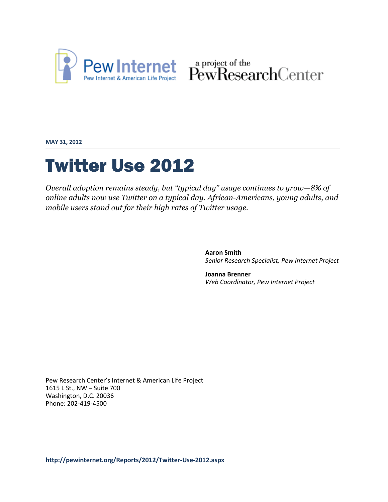

Pew Internet & American Life Project PewResearchCenter

**MAY 31, 2012**

# Twitter Use 2012

*Overall adoption remains steady, but "typical day" usage continues to grow—8% of online adults now use Twitter on a typical day. African-Americans, young adults, and mobile users stand out for their high rates of Twitter usage.*

> **Aaron Smith** *Senior Research Specialist, Pew Internet Project*

**Joanna Brenner** *Web Coordinator, Pew Internet Project*

Pew Research Center's Internet & American Life Project 1615 L St., NW – Suite 700 Washington, D.C. 20036 Phone: 202-419-4500

**<http://pewinternet.org/Reports/2012/Twitter-Use-2012.aspx>**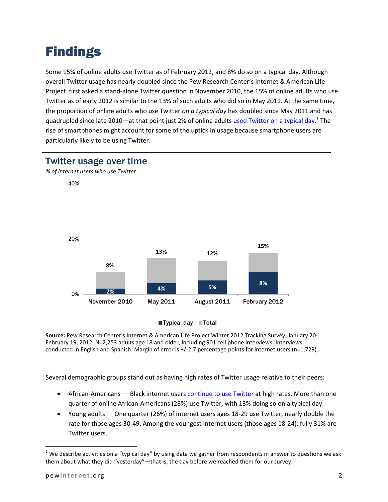## Findings

Some 15% of online adults use Twitter as of February 2012, and 8% do so on a typical day. Although overall Twitter usage has nearly doubled since the Pew Research Center's Internet & American Life Project first asked a stand-alone Twitter question in November 2010, the 15% of online adults who use Twitter as of early 2012 is similar to the 13% of such adults who did so in May 2011. At the same time, the proportion of online adults who use Twitter *on a typical day* has doubled since May 2011 and has quadrupled since late 2010—at that point just 2% of online adults [used Twitter on a typical day.](http://www.pewinternet.org/Reports/2010/Twitter-Update-2010.aspx)<sup>1</sup> The rise of smartphones might account for some of the uptick in usage because smartphone users are particularly likely to be using Twitter.



#### Twitter usage over time

*% of internet users who use Twitter*



**Source:** Pew Research Center's Internet & American Life Project Winter 2012 Tracking Survey, January 20- February 19, 2012. N=2,253 adults age 18 and older, including 901 cell phone interviews. Interviews conducted in English and Spanish. Margin of error is +/-2.7 percentage points for internet users (n=1,729).

Several demographic groups stand out as having high rates of Twitter usage relative to their peers:

- African-Americans Black internet users [continue to use Twitter](http://www.pewinternet.org/Reports/2011/Twitter-Update-2011/Main-Report.aspx) at high rates. More than one quarter of online African-Americans (28%) use Twitter, with 13% doing so on a typical day.
- Young adults One quarter (26%) of internet users ages 18-29 use Twitter, nearly double the rate for those ages 30-49. Among the youngest internet users (those ages 18-24), fully 31% are Twitter users.

 $1$  We describe activities on a "typical day" by using data we gather from respondents in answer to questions we ask them about what they did "yesterday"—that is, the day before we reached them for our survey.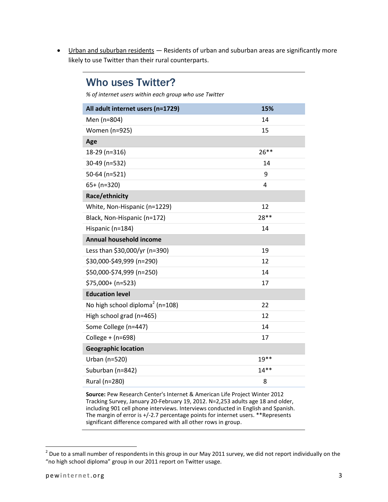• Urban and suburban residents - Residents of urban and suburban areas are significantly more likely to use Twitter than their rural counterparts.

### Who uses Twitter?

*% of internet users within each group who use Twitter*

| All adult internet users (n=1729)           | 15%     |
|---------------------------------------------|---------|
| Men (n=804)                                 | 14      |
| Women (n=925)                               | 15      |
| Age                                         |         |
| 18-29 (n=316)                               | $26***$ |
| 30-49 (n=532)                               | 14      |
| 50-64 (n=521)                               | 9       |
| $65+ (n=320)$                               | 4       |
| Race/ethnicity                              |         |
| White, Non-Hispanic (n=1229)                | 12      |
| Black, Non-Hispanic (n=172)                 | 28 **   |
| Hispanic (n=184)                            | 14      |
| Annual household income                     |         |
| Less than \$30,000/yr (n=390)               | 19      |
| \$30,000-\$49,999 (n=290)                   | 12      |
| \$50,000-\$74,999 (n=250)                   | 14      |
| $$75,000+ (n=523)$                          | 17      |
| <b>Education level</b>                      |         |
| No high school diploma <sup>2</sup> (n=108) | 22      |
| High school grad (n=465)                    | 12      |
| Some College (n=447)                        | 14      |
| College + $(n=698)$                         | 17      |
| <b>Geographic location</b>                  |         |
| Urban (n=520)                               | $19**$  |
| Suburban (n=842)                            | $14**$  |
| Rural (n=280)                               | 8       |

**Source:** Pew Research Center's Internet & American Life Project Winter 2012 Tracking Survey, January 20-February 19, 2012. N=2,253 adults age 18 and older, including 901 cell phone interviews. Interviews conducted in English and Spanish. The margin of error is +/-2.7 percentage points for internet users. \*\*Represents significant difference compared with all other rows in group.

 $^2$  Due to a small number of respondents in this group in our May 2011 survey, we did not report individually on the "no high school diploma" group in our 2011 report on Twitter usage.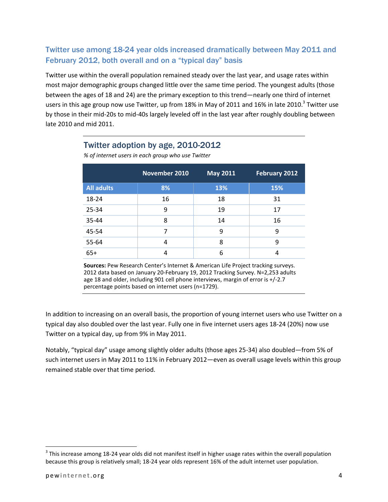#### Twitter use among 18-24 year olds increased dramatically between May 2011 and February 2012, both overall and on a "typical day" basis

Twitter use within the overall population remained steady over the last year, and usage rates within most major demographic groups changed little over the same time period. The youngest adults (those between the ages of 18 and 24) are the primary exception to this trend—nearly one third of internet users in this age group now use Twitter, up from 18% in May of 2011 and 16% in late 2010.<sup>3</sup> Twitter use by those in their mid-20s to mid-40s largely leveled off in the last year after roughly doubling between late 2010 and mid 2011.

#### Twitter adoption by age, 2010-2012

|                                                                                          | November 2010 | <b>May 2011</b> | <b>February 2012</b> |
|------------------------------------------------------------------------------------------|---------------|-----------------|----------------------|
| <b>All adults</b>                                                                        | 8%            | 13%             | 15%                  |
| 18-24                                                                                    | 16            | 18              | 31                   |
| 25-34                                                                                    | 9             | 19              | 17                   |
| 35-44                                                                                    | 8             | 14              | 16                   |
| 45-54                                                                                    | 7             | 9               | 9                    |
| 55-64                                                                                    | 4             | 8               | 9                    |
| $65+$                                                                                    | 4             | 6               | 4                    |
| <b>Sources:</b> Pew Research Center's Internet & American Life Project tracking surveys. |               |                 |                      |

*% of internet users in each group who use Twitter*

**Sources:** Pew Research Center's Internet & American Life Project tracking surveys. 2012 data based on January 20-February 19, 2012 Tracking Survey. N=2,253 adults age 18 and older, including 901 cell phone interviews, margin of error is +/-2.7 percentage points based on internet users (n=1729).

In addition to increasing on an overall basis, the proportion of young internet users who use Twitter on a typical day also doubled over the last year. Fully one in five internet users ages 18-24 (20%) now use Twitter on a typical day, up from 9% in May 2011.

Notably, "typical day" usage among slightly older adults (those ages 25-34) also doubled—from 5% of such internet users in May 2011 to 11% in February 2012—even as overall usage levels within this group remained stable over that time period.

 $3$  This increase among 18-24 year olds did not manifest itself in higher usage rates within the overall population because this group is relatively small; 18-24 year olds represent 16% of the adult internet user population.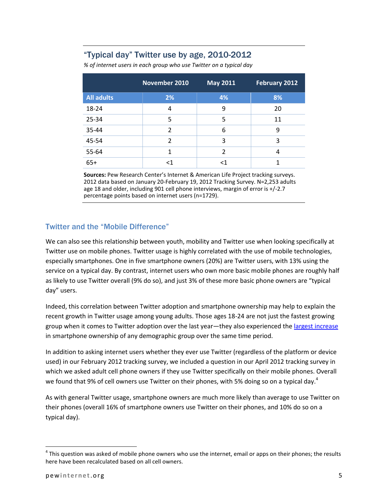#### "Typical day" Twitter use by age, 2010-2012

*% of internet users in each group who use Twitter on a typical day*

|                   | November 2010 | <b>May 2011</b> | <b>February 2012</b> |
|-------------------|---------------|-----------------|----------------------|
| <b>All adults</b> | 2%            | 4%              | 8%                   |
| 18-24             | 4             | 9               | 20                   |
| 25-34             | 5             | 5               | 11                   |
| 35-44             | 2             | 6               | 9                    |
| 45-54             | $\mathfrak z$ | 3               | 3                    |
| 55-64             | 1             | $\overline{2}$  | 4                    |
| $65+$             | ا>            | <1              |                      |

**Sources:** Pew Research Center's Internet & American Life Project tracking surveys. 2012 data based on January 20-February 19, 2012 Tracking Survey. N=2,253 adults age 18 and older, including 901 cell phone interviews, margin of error is +/-2.7 percentage points based on internet users (n=1729).

#### Twitter and the "Mobile Difference"

We can also see this relationship between youth, mobility and Twitter use when looking specifically at Twitter use on mobile phones. Twitter usage is highly correlated with the use of mobile technologies, especially smartphones. One in five smartphone owners (20%) are Twitter users, with 13% using the service on a typical day. By contrast, internet users who own more basic mobile phones are roughly half as likely to use Twitter overall (9% do so), and just 3% of these more basic phone owners are "typical day" users.

Indeed, this correlation between Twitter adoption and smartphone ownership may help to explain the recent growth in Twitter usage among young adults. Those ages 18-24 are not just the fastest growing group when it comes to Twitter adoption over the last year—they also experienced th[e largest increase](http://pewinternet.org/Reports/2012/Smartphone-Update-2012.aspx) in smartphone ownership of any demographic group over the same time period.

In addition to asking internet users whether they ever use Twitter (regardless of the platform or device used) in our February 2012 tracking survey, we included a question in our April 2012 tracking survey in which we asked adult cell phone owners if they use Twitter specifically on their mobile phones. Overall we found that 9% of cell owners use Twitter on their phones, with 5% doing so on a typical day.<sup>4</sup>

As with general Twitter usage, smartphone owners are much more likely than average to use Twitter on their phones (overall 16% of smartphone owners use Twitter on their phones, and 10% do so on a typical day).

 $<sup>4</sup>$  This question was asked of mobile phone owners who use the internet, email or apps on their phones; the results</sup> here have been recalculated based on all cell owners.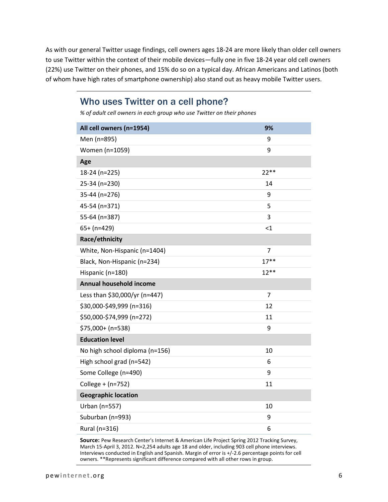As with our general Twitter usage findings, cell owners ages 18-24 are more likely than older cell owners to use Twitter within the context of their mobile devices—fully one in five 18-24 year old cell owners (22%) use Twitter on their phones, and 15% do so on a typical day. African Americans and Latinos (both of whom have high rates of smartphone ownership) also stand out as heavy mobile Twitter users.

#### Who uses Twitter on a cell phone?

*% of adult cell owners in each group who use Twitter on their phones*

| All cell owners (n=1954)       | 9%             |
|--------------------------------|----------------|
| Men (n=895)                    | 9              |
| Women (n=1059)                 | 9              |
| Age                            |                |
| 18-24 (n=225)                  | $22**$         |
| 25-34 (n=230)                  | 14             |
| 35-44 (n=276)                  | 9              |
| 45-54 (n=371)                  | 5              |
| 55-64 (n=387)                  | 3              |
| $65+ (n=429)$                  | $\leq$ 1       |
| Race/ethnicity                 |                |
| White, Non-Hispanic (n=1404)   | $\overline{7}$ |
| Black, Non-Hispanic (n=234)    | $17***$        |
| Hispanic (n=180)               | $12**$         |
| Annual household income        |                |
| Less than \$30,000/yr (n=447)  | $\overline{7}$ |
| \$30,000-\$49,999 (n=316)      | 12             |
| \$50,000-\$74,999 (n=272)      | 11             |
| \$75,000+ (n=538)              | 9              |
| <b>Education level</b>         |                |
| No high school diploma (n=156) | 10             |
| High school grad (n=542)       | 6              |
| Some College (n=490)           | 9              |
| College + (n=752)              | 11             |
| <b>Geographic location</b>     |                |
| Urban (n=557)                  | 10             |
| Suburban (n=993)               | 9              |
| Rural (n=316)                  | 6              |

**Source:** Pew Research Center's Internet & American Life Project Spring 2012 Tracking Survey, March 15-April 3, 2012. N=2,254 adults age 18 and older, including 903 cell phone interviews. Interviews conducted in English and Spanish. Margin of error is +/-2.6 percentage points for cell owners. \*\*Represents significant difference compared with all other rows in group.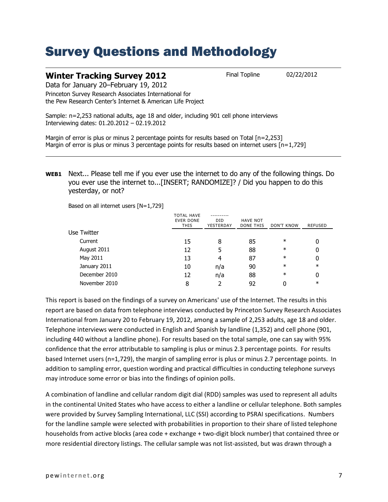### Survey Questions and Methodology

#### **Winter Tracking Survey 2012** Final Topline 02/22/2012

Data for January 20–February 19, 2012

Princeton Survey Research Associates International for the Pew Research Center's Internet & American Life Project

Sample: n=2,253 national adults, age 18 and older, including 901 cell phone interviews Interviewing dates: 01.20.2012 – 02.19.2012

Margin of error is plus or minus 2 percentage points for results based on Total [n=2,253] Margin of error is plus or minus 3 percentage points for results based on internet users  $[n=1,729]$ 

**WEB1** Next... Please tell me if you ever use the internet to do any of the following things. Do you ever use the internet to...[INSERT; RANDOMIZE]? / Did you happen to do this yesterday, or not?

Based on all internet users [N=1,729]

|               | <b>TOTAL HAVE</b><br><b>EVER DONE</b><br><b>THIS</b> | DID<br>YESTERDAY | <b>HAVE NOT</b><br>DONE THIS | DON'T KNOW | <b>REFUSED</b> |
|---------------|------------------------------------------------------|------------------|------------------------------|------------|----------------|
| Use Twitter   |                                                      |                  |                              |            |                |
| Current       | 15                                                   | 8                | 85                           | $\ast$     | 0              |
| August 2011   | 12                                                   | 5                | 88                           | $\ast$     | 0              |
| May 2011      | 13                                                   | 4                | 87                           | $\ast$     | 0              |
| January 2011  | 10                                                   | n/a              | 90                           | $\ast$     | $\ast$         |
| December 2010 | 12                                                   | n/a              | 88                           | $\ast$     | 0              |
| November 2010 | 8                                                    |                  | 92                           |            | $\ast$         |

This report is based on the findings of a survey on Americans' use of the Internet. The results in this report are based on data from telephone interviews conducted by Princeton Survey Research Associates International from January 20 to February 19, 2012, among a sample of 2,253 adults, age 18 and older. Telephone interviews were conducted in English and Spanish by landline (1,352) and cell phone (901, including 440 without a landline phone). For results based on the total sample, one can say with 95% confidence that the error attributable to sampling is plus or minus 2.3 percentage points. For results based Internet users (n=1,729), the margin of sampling error is plus or minus 2.7 percentage points. In addition to sampling error, question wording and practical difficulties in conducting telephone surveys may introduce some error or bias into the findings of opinion polls.

A combination of landline and cellular random digit dial (RDD) samples was used to represent all adults in the continental United States who have access to either a landline or cellular telephone. Both samples were provided by Survey Sampling International, LLC (SSI) according to PSRAI specifications. Numbers for the landline sample were selected with probabilities in proportion to their share of listed telephone households from active blocks (area code + exchange + two-digit block number) that contained three or more residential directory listings. The cellular sample was not list-assisted, but was drawn through a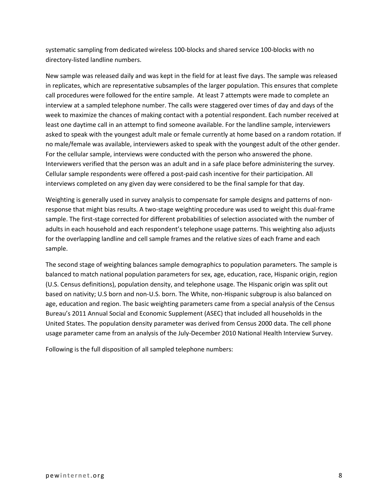systematic sampling from dedicated wireless 100-blocks and shared service 100-blocks with no directory-listed landline numbers.

New sample was released daily and was kept in the field for at least five days. The sample was released in replicates, which are representative subsamples of the larger population. This ensures that complete call procedures were followed for the entire sample. At least 7 attempts were made to complete an interview at a sampled telephone number. The calls were staggered over times of day and days of the week to maximize the chances of making contact with a potential respondent. Each number received at least one daytime call in an attempt to find someone available. For the landline sample, interviewers asked to speak with the youngest adult male or female currently at home based on a random rotation. If no male/female was available, interviewers asked to speak with the youngest adult of the other gender. For the cellular sample, interviews were conducted with the person who answered the phone. Interviewers verified that the person was an adult and in a safe place before administering the survey. Cellular sample respondents were offered a post-paid cash incentive for their participation. All interviews completed on any given day were considered to be the final sample for that day.

Weighting is generally used in survey analysis to compensate for sample designs and patterns of nonresponse that might bias results. A two-stage weighting procedure was used to weight this dual-frame sample. The first-stage corrected for different probabilities of selection associated with the number of adults in each household and each respondent's telephone usage patterns. This weighting also adjusts for the overlapping landline and cell sample frames and the relative sizes of each frame and each sample.

The second stage of weighting balances sample demographics to population parameters. The sample is balanced to match national population parameters for sex, age, education, race, Hispanic origin, region (U.S. Census definitions), population density, and telephone usage. The Hispanic origin was split out based on nativity; U.S born and non-U.S. born. The White, non-Hispanic subgroup is also balanced on age, education and region. The basic weighting parameters came from a special analysis of the Census Bureau's 2011 Annual Social and Economic Supplement (ASEC) that included all households in the United States. The population density parameter was derived from Census 2000 data. The cell phone usage parameter came from an analysis of the July-December 2010 National Health Interview Survey.

Following is the full disposition of all sampled telephone numbers: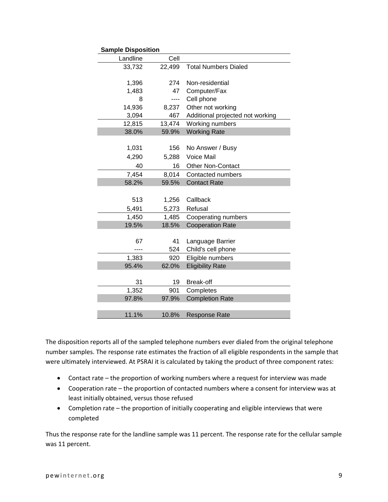| <b>Sample Disposition</b> |        |                                  |
|---------------------------|--------|----------------------------------|
| Landline                  | Cell   |                                  |
| 33,732                    | 22,499 | <b>Total Numbers Dialed</b>      |
|                           |        |                                  |
| 1,396                     | 274    | Non-residential                  |
| 1,483                     | 47     | Computer/Fax                     |
| 8                         | ----   | Cell phone                       |
| 14,936                    | 8,237  | Other not working                |
| 3,094                     | 467    | Additional projected not working |
| 12,815                    | 13,474 | Working numbers                  |
| 38.0%                     | 59.9%  | <b>Working Rate</b>              |
|                           |        |                                  |
| 1,031                     | 156    | No Answer / Busy                 |
| 4,290                     | 5,288  | Voice Mail                       |
| 40                        | 16     | <b>Other Non-Contact</b>         |
| 7,454                     | 8,014  | Contacted numbers                |
| 58.2%                     | 59.5%  | <b>Contact Rate</b>              |
|                           |        |                                  |
| 513                       | 1,256  | Callback                         |
| 5,491                     | 5,273  | Refusal                          |
| 1,450                     | 1,485  | Cooperating numbers              |
| 19.5%                     | 18.5%  | <b>Cooperation Rate</b>          |
|                           |        |                                  |
| 67                        | 41     | Language Barrier                 |
|                           | 524    | Child's cell phone               |
| 1,383                     | 920    | Eligible numbers                 |
| 95.4%                     | 62.0%  | <b>Eligibility Rate</b>          |
|                           |        |                                  |
| 31                        | 19     | Break-off                        |
| 1,352                     | 901    | Completes                        |
| 97.8%                     | 97.9%  | <b>Completion Rate</b>           |
|                           |        |                                  |
| 11.1%                     | 10.8%  | <b>Response Rate</b>             |

The disposition reports all of the sampled telephone numbers ever dialed from the original telephone number samples. The response rate estimates the fraction of all eligible respondents in the sample that were ultimately interviewed. At PSRAI it is calculated by taking the product of three component rates:

- Contact rate the proportion of working numbers where a request for interview was made
- Cooperation rate the proportion of contacted numbers where a consent for interview was at least initially obtained, versus those refused
- Completion rate the proportion of initially cooperating and eligible interviews that were completed

Thus the response rate for the landline sample was 11 percent. The response rate for the cellular sample was 11 percent.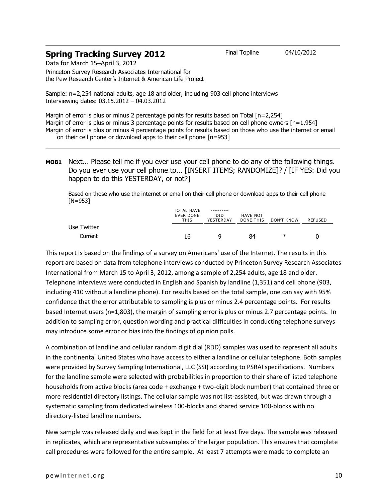#### **Spring Tracking Survey 2012** Final Topline 04/10/2012

Data for March 15–April 3, 2012 Princeton Survey Research Associates International for

the Pew Research Center's Internet & American Life Project

Sample: n=2,254 national adults, age 18 and older, including 903 cell phone interviews Interviewing dates: 03.15.2012 – 04.03.2012

Margin of error is plus or minus 2 percentage points for results based on Total [n=2,254] Margin of error is plus or minus 3 percentage points for results based on cell phone owners [n=1,954] Margin of error is plus or minus 4 percentage points for results based on those who use the internet or email on their cell phone or download apps to their cell phone [n=953]

#### **MOB1** Next... Please tell me if you ever use your cell phone to do any of the following things. Do you ever use your cell phone to... [INSERT ITEMS; RANDOMIZE]? / [IF YES: Did you happen to do this YESTERDAY, or not?]

Based on those who use the internet or email on their cell phone or download apps to their cell phone [N=953]

|             | <b>TOTAL HAVE</b><br><b>EVER DONE</b><br>THIS |  | HAVE NOT<br>DONE THIS | DON'T KNOW | REFUSED |
|-------------|-----------------------------------------------|--|-----------------------|------------|---------|
| Use Twitter |                                               |  |                       |            |         |
| Current     | 16                                            |  | 84                    | ∗          |         |

This report is based on the findings of a survey on Americans' use of the Internet. The results in this report are based on data from telephone interviews conducted by Princeton Survey Research Associates International from March 15 to April 3, 2012, among a sample of 2,254 adults, age 18 and older. Telephone interviews were conducted in English and Spanish by landline (1,351) and cell phone (903, including 410 without a landline phone). For results based on the total sample, one can say with 95% confidence that the error attributable to sampling is plus or minus 2.4 percentage points. For results based Internet users (n=1,803), the margin of sampling error is plus or minus 2.7 percentage points. In addition to sampling error, question wording and practical difficulties in conducting telephone surveys may introduce some error or bias into the findings of opinion polls.

A combination of landline and cellular random digit dial (RDD) samples was used to represent all adults in the continental United States who have access to either a landline or cellular telephone. Both samples were provided by Survey Sampling International, LLC (SSI) according to PSRAI specifications. Numbers for the landline sample were selected with probabilities in proportion to their share of listed telephone households from active blocks (area code + exchange + two-digit block number) that contained three or more residential directory listings. The cellular sample was not list-assisted, but was drawn through a systematic sampling from dedicated wireless 100-blocks and shared service 100-blocks with no directory-listed landline numbers.

New sample was released daily and was kept in the field for at least five days. The sample was released in replicates, which are representative subsamples of the larger population. This ensures that complete call procedures were followed for the entire sample. At least 7 attempts were made to complete an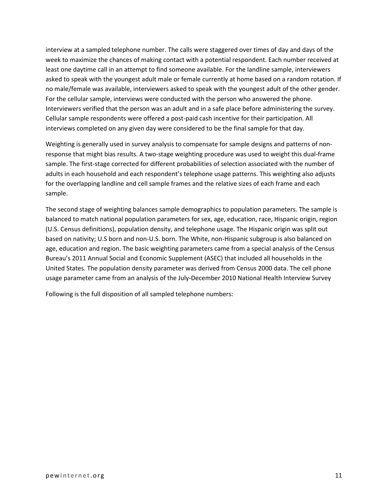interview at a sampled telephone number. The calls were staggered over times of day and days of the week to maximize the chances of making contact with a potential respondent. Each number received at least one daytime call in an attempt to find someone available. For the landline sample, interviewers asked to speak with the youngest adult male or female currently at home based on a random rotation. If no male/female was available, interviewers asked to speak with the youngest adult of the other gender. For the cellular sample, interviews were conducted with the person who answered the phone. Interviewers verified that the person was an adult and in a safe place before administering the survey. Cellular sample respondents were offered a post-paid cash incentive for their participation. All interviews completed on any given day were considered to be the final sample for that day.

Weighting is generally used in survey analysis to compensate for sample designs and patterns of nonresponse that might bias results. A two-stage weighting procedure was used to weight this dual-frame sample. The first-stage corrected for different probabilities of selection associated with the number of adults in each household and each respondent's telephone usage patterns. This weighting also adjusts for the overlapping landline and cell sample frames and the relative sizes of each frame and each sample.

The second stage of weighting balances sample demographics to population parameters. The sample is balanced to match national population parameters for sex, age, education, race, Hispanic origin, region (U.S. Census definitions), population density, and telephone usage. The Hispanic origin was split out based on nativity; U.S born and non-U.S. born. The White, non-Hispanic subgroup is also balanced on age, education and region. The basic weighting parameters came from a special analysis of the Census Bureau's 2011 Annual Social and Economic Supplement (ASEC) that included all households in the United States. The population density parameter was derived from Census 2000 data. The cell phone usage parameter came from an analysis of the July-December 2010 National Health Interview Survey

Following is the full disposition of all sampled telephone numbers: